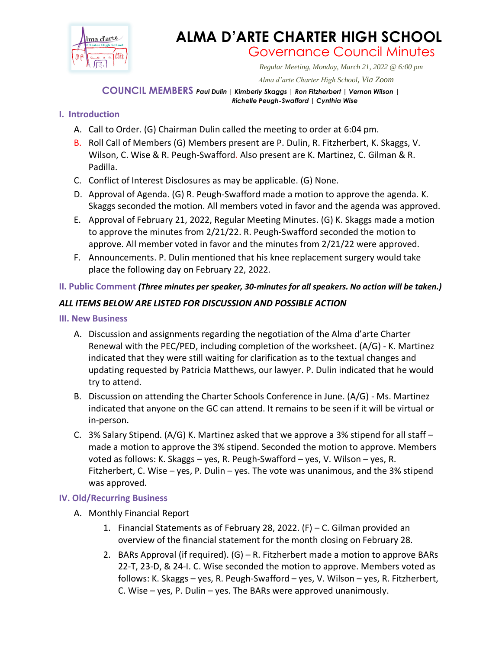

# **ALMA D'ARTE CHARTER HIGH SCHOOL** Governance Council Minutes

*Regular Meeting, Monday, March 21, 2022 @ 6:00 pm*

 *Alma d'arte Charter High School, Via Zoom*

#### **COUNCIL MEMBERS** *Paul Dulin | Kimberly Skaggs | Ron Fitzherbert <sup>|</sup> Vernon Wilson | Richelle Peugh-Swafford | Cynthia Wise*

### **I. Introduction**

- A. Call to Order. (G) Chairman Dulin called the meeting to order at 6:04 pm.
- B. Roll Call of Members (G) Members present are P. Dulin, R. Fitzherbert, K. Skaggs, V. Wilson, C. Wise & R. Peugh-Swafford. Also present are K. Martinez, C. Gilman & R. Padilla.
- C. Conflict of Interest Disclosures as may be applicable. (G) None.
- D. Approval of Agenda. (G) R. Peugh-Swafford made a motion to approve the agenda. K. Skaggs seconded the motion. All members voted in favor and the agenda was approved.
- E. Approval of February 21, 2022, Regular Meeting Minutes. (G) K. Skaggs made a motion to approve the minutes from 2/21/22. R. Peugh-Swafford seconded the motion to approve. All member voted in favor and the minutes from 2/21/22 were approved.
- F. Announcements. P. Dulin mentioned that his knee replacement surgery would take place the following day on February 22, 2022.

#### **II. Public Comment** *(Three minutes per speaker, 30-minutes for all speakers. No action will be taken.)*

## *ALL ITEMS BELOW ARE LISTED FOR DISCUSSION AND POSSIBLE ACTION*

#### **III. New Business**

- A. Discussion and assignments regarding the negotiation of the Alma d'arte Charter Renewal with the PEC/PED, including completion of the worksheet. (A/G) - K. Martinez indicated that they were still waiting for clarification as to the textual changes and updating requested by Patricia Matthews, our lawyer. P. Dulin indicated that he would try to attend.
- B. Discussion on attending the Charter Schools Conference in June. (A/G) Ms. Martinez indicated that anyone on the GC can attend. It remains to be seen if it will be virtual or in-person.
- C. 3% Salary Stipend. (A/G) K. Martinez asked that we approve a 3% stipend for all staff  $$ made a motion to approve the 3% stipend. Seconded the motion to approve. Members voted as follows: K. Skaggs – yes, R. Peugh-Swafford – yes, V. Wilson – yes, R. Fitzherbert, C. Wise  $-$  yes, P. Dulin  $-$  yes. The vote was unanimous, and the 3% stipend was approved.

#### **IV. Old/Recurring Business**

- A. Monthly Financial Report
	- 1. Financial Statements as of February 28, 2022. (F) C. Gilman provided an overview of the financial statement for the month closing on February 28.
	- 2. BARs Approval (if required). (G) R. Fitzherbert made a motion to approve BARs 22-T, 23-D, & 24-I. C. Wise seconded the motion to approve. Members voted as follows: K. Skaggs – yes, R. Peugh-Swafford – yes, V. Wilson – yes, R. Fitzherbert, C. Wise – yes, P. Dulin – yes. The BARs were approved unanimously.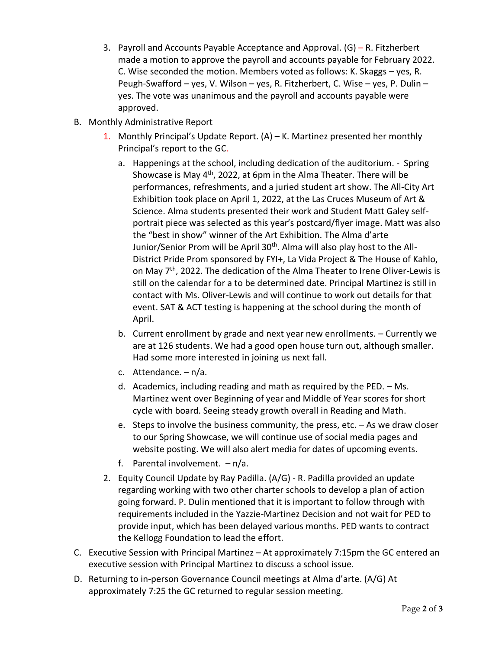- 3. Payroll and Accounts Payable Acceptance and Approval. (G) R. Fitzherbert made a motion to approve the payroll and accounts payable for February 2022. C. Wise seconded the motion. Members voted as follows: K. Skaggs – yes, R. Peugh-Swafford – yes, V. Wilson – yes, R. Fitzherbert, C. Wise – yes, P. Dulin – yes. The vote was unanimous and the payroll and accounts payable were approved.
- B. Monthly Administrative Report
	- 1. Monthly Principal's Update Report.  $(A)$  K. Martinez presented her monthly Principal's report to the GC.
		- a. Happenings at the school, including dedication of the auditorium. Spring Showcase is May 4<sup>th</sup>, 2022, at 6pm in the Alma Theater. There will be performances, refreshments, and a juried student art show. The All-City Art Exhibition took place on April 1, 2022, at the Las Cruces Museum of Art & Science. Alma students presented their work and Student Matt Galey selfportrait piece was selected as this year's postcard/flyer image. Matt was also the "best in show" winner of the Art Exhibition. The Alma d'arte Junior/Senior Prom will be April 30<sup>th</sup>. Alma will also play host to the All-District Pride Prom sponsored by FYI+, La Vida Project & The House of Kahlo, on May 7th, 2022. The dedication of the Alma Theater to Irene Oliver-Lewis is still on the calendar for a to be determined date. Principal Martinez is still in contact with Ms. Oliver-Lewis and will continue to work out details for that event. SAT & ACT testing is happening at the school during the month of April.
		- b. Current enrollment by grade and next year new enrollments. Currently we are at 126 students. We had a good open house turn out, although smaller. Had some more interested in joining us next fall.
		- c. Attendance. n/a.
		- d. Academics, including reading and math as required by the PED. Ms. Martinez went over Beginning of year and Middle of Year scores for short cycle with board. Seeing steady growth overall in Reading and Math.
		- e. Steps to involve the business community, the press, etc. As we draw closer to our Spring Showcase, we will continue use of social media pages and website posting. We will also alert media for dates of upcoming events.
		- f. Parental involvement. n/a.
	- 2. Equity Council Update by Ray Padilla. (A/G) R. Padilla provided an update regarding working with two other charter schools to develop a plan of action going forward. P. Dulin mentioned that it is important to follow through with requirements included in the Yazzie-Martinez Decision and not wait for PED to provide input, which has been delayed various months. PED wants to contract the Kellogg Foundation to lead the effort.
- C. Executive Session with Principal Martinez At approximately 7:15pm the GC entered an executive session with Principal Martinez to discuss a school issue.
- D. Returning to in-person Governance Council meetings at Alma d'arte. (A/G) At approximately 7:25 the GC returned to regular session meeting.